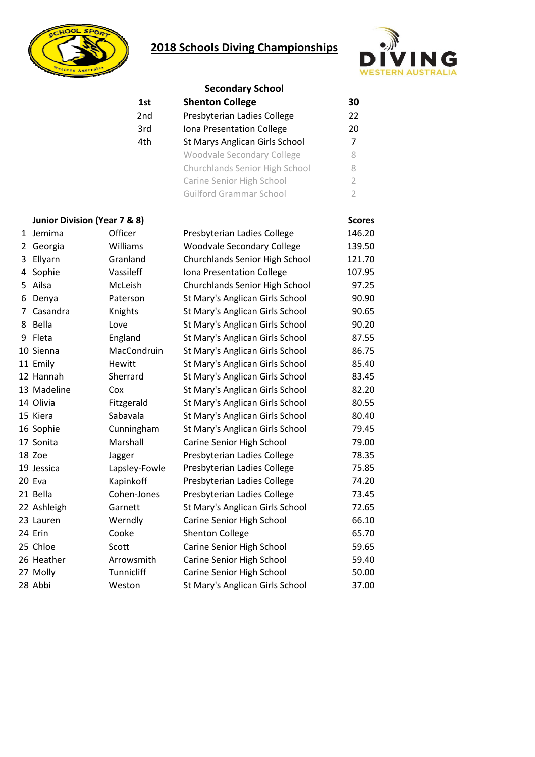## **2018 Schools Diving Championships**





|   |                              | <b>Secondary School</b> |                                   |                |  |  |
|---|------------------------------|-------------------------|-----------------------------------|----------------|--|--|
|   |                              | 1st                     | <b>Shenton College</b>            | 30             |  |  |
|   |                              | 2nd                     | Presbyterian Ladies College       | 22             |  |  |
|   |                              | 3rd                     | Iona Presentation College         | 20             |  |  |
|   |                              | 4th                     | St Marys Anglican Girls School    | $\overline{7}$ |  |  |
|   |                              |                         | Woodvale Secondary College        | 8              |  |  |
|   |                              |                         | Churchlands Senior High School    | 8              |  |  |
|   |                              |                         | Carine Senior High School         | $\overline{2}$ |  |  |
|   |                              |                         | <b>Guilford Grammar School</b>    | $\overline{2}$ |  |  |
|   | Junior Division (Year 7 & 8) |                         |                                   | <b>Scores</b>  |  |  |
|   | 1 Jemima                     | Officer                 | Presbyterian Ladies College       | 146.20         |  |  |
| 2 | Georgia                      | Williams                | <b>Woodvale Secondary College</b> | 139.50         |  |  |
| 3 | Ellyarn                      | Granland                | Churchlands Senior High School    | 121.70         |  |  |
| 4 | Sophie                       | Vassileff               | Iona Presentation College         | 107.95         |  |  |
|   | 5 Ailsa                      | McLeish                 | Churchlands Senior High School    | 97.25          |  |  |
| 6 | Denya                        | Paterson                | St Mary's Anglican Girls School   | 90.90          |  |  |
| 7 | Casandra                     | Knights                 | St Mary's Anglican Girls School   | 90.65          |  |  |
|   | 8 Bella                      | Love                    | St Mary's Anglican Girls School   | 90.20          |  |  |
| 9 | Fleta                        | England                 | St Mary's Anglican Girls School   | 87.55          |  |  |
|   | 10 Sienna                    | MacCondruin             | St Mary's Anglican Girls School   | 86.75          |  |  |
|   | 11 Emily                     | Hewitt                  | St Mary's Anglican Girls School   | 85.40          |  |  |
|   | 12 Hannah                    | Sherrard                | St Mary's Anglican Girls School   | 83.45          |  |  |
|   | 13 Madeline                  | Cox                     | St Mary's Anglican Girls School   | 82.20          |  |  |
|   | 14 Olivia                    | Fitzgerald              | St Mary's Anglican Girls School   | 80.55          |  |  |
|   | 15 Kiera                     | Sabavala                | St Mary's Anglican Girls School   | 80.40          |  |  |
|   | 16 Sophie                    | Cunningham              | St Mary's Anglican Girls School   | 79.45          |  |  |
|   | 17 Sonita                    | Marshall                | Carine Senior High School         | 79.00          |  |  |
|   | 18 Zoe                       | Jagger                  | Presbyterian Ladies College       | 78.35          |  |  |
|   | 19 Jessica                   | Lapsley-Fowle           | Presbyterian Ladies College       | 75.85          |  |  |
|   | 20 Eva                       | Kapinkoff               | Presbyterian Ladies College       | 74.20          |  |  |
|   | 21 Bella                     | Cohen-Jones             | Presbyterian Ladies College       | 73.45          |  |  |
|   | 22 Ashleigh                  | Garnett                 | St Mary's Anglican Girls School   | 72.65          |  |  |
|   | 23 Lauren                    | Werndly                 | Carine Senior High School         | 66.10          |  |  |
|   | 24 Erin                      | Cooke                   | <b>Shenton College</b>            | 65.70          |  |  |
|   | 25 Chloe                     | Scott                   | Carine Senior High School         | 59.65          |  |  |
|   | 26 Heather                   | Arrowsmith              | Carine Senior High School         | 59.40          |  |  |
|   | 27 Molly                     | Tunnicliff              | Carine Senior High School         | 50.00          |  |  |
|   | 28 Abbi                      | Weston                  | St Mary's Anglican Girls School   | 37.00          |  |  |